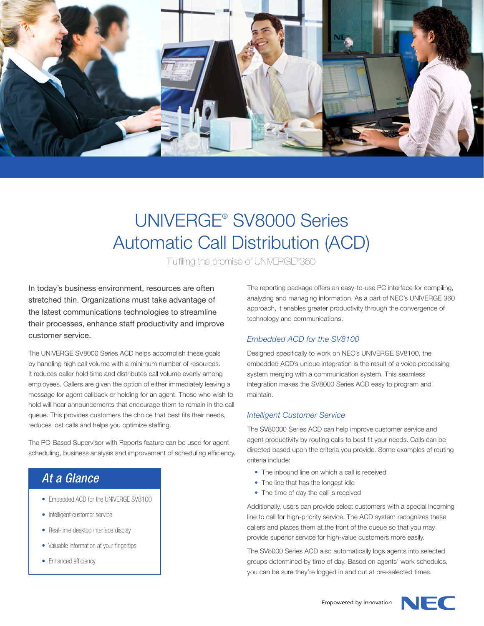

# UNIVERGE® SV8000 Series Automatic Call Distribution (ACD)

Fulfilling the promise of UNIVERGE®360

In today's business environment, resources are often stretched thin. Organizations must take advantage of the latest communications technologies to streamline their processes, enhance staff productivity and improve customer service.

The UNIVERGE SV8000 Series ACD helps accomplish these goals by handling high call volume with a minimum number of resources. It reduces caller hold time and distributes call volume evenly among employees. Callers are given the option of either immediately leaving a message for agent callback or holding for an agent. Those who wish to hold will hear announcements that encourage them to remain in the call queue. This provides customers the choice that best fits their needs, reduces lost calls and helps you optimize staffing.

The PC-Based Supervisor with Reports feature can be used for agent scheduling, business analysis and improvement of scheduling efficiency.

# *At a Glance*

- Embedded ACD for the UNIVERGE SV8100
- Intelligent customer service
- Real-time desktop interface display
- Valuable information at your fingertips
- Enhanced efficiency

The reporting package offers an easy-to-use PC interface for compiling, analyzing and managing information. As a part of NEC's UNIVERGE 360 approach, it enables greater productivity through the convergence of technology and communications.

# *Embedded ACD for the SV8100*

Designed specifically to work on NEC's UNIVERGE SV8100, the embedded ACD's unique integration is the result of a voice processing system merging with a communication system. This seamless integration makes the SV8000 Series ACD easy to program and maintain.

#### *Intelligent Customer Service*

The SV80000 Series ACD can help improve customer service and agent productivity by routing calls to best fit your needs. Calls can be directed based upon the criteria you provide. Some examples of routing criteria include:

- The inbound line on which a call is received
- The line that has the longest idle
- The time of day the call is received

Additionally, users can provide select customers with a special incoming line to call for high-priority service. The ACD system recognizes these callers and places them at the front of the queue so that you may provide superior service for high-value customers more easily.

The SV8000 Series ACD also automatically logs agents into selected groups determined by time of day. Based on agents' work schedules, you can be sure they're logged in and out at pre-selected times.